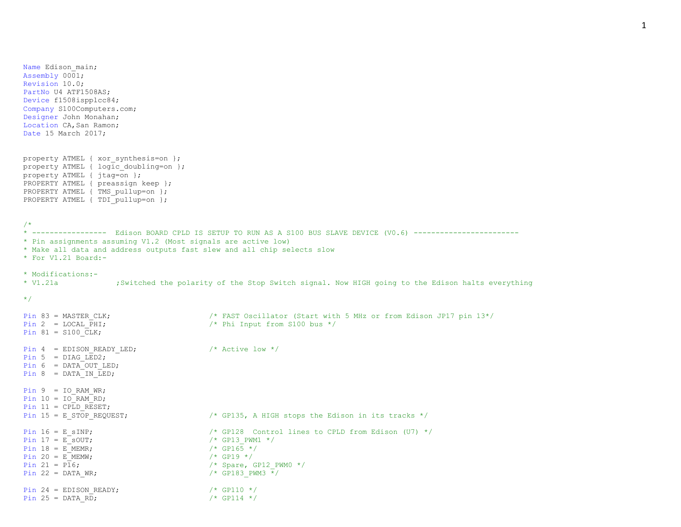Name Edison main; Assembly 0001; Revision 10.0; PartNo U4 ATF1508AS; Device f1508ispplcc84; Company S100Computers.com; Designer John Monahan; Location CA, San Ramon; Date 15 March 2017; property ATMEL { xor synthesis=on }; property ATMEL { logic doubling=on }; property ATMEL {  $\frac{1}{1}$  tag=on }; PROPERTY ATMEL { preassign keep }; PROPERTY ATMEL { TMS pullup=on }; PROPERTY ATMEL { TDI pullup=on }; /\* \* ----------------- Edison BOARD CPLD IS SETUP TO RUN AS A S100 BUS SLAVE DEVICE (V0.6) ------------------------ \* Pin assignments assuming V1.2 (Most signals are active low) \* Make all data and address outputs fast slew and all chip selects slow \* For V1.21 Board:- \* Modifications:- \* V1.21a ;Switched the polarity of the Stop Switch signal. Now HIGH going to the Edison halts everything \*/ Pin 83 = MASTER CLK;  $/$ \* FAST Oscillator (Start with 5 MHz or from Edison JP17 pin 13\*/ Pin 2 = LOCAL PHI;  $\frac{1}{2}$  /\* Phi Input from S100 bus \*/ Pin  $81 = S100$  CLK; Pin 4 = EDISON READY LED;  $\frac{1}{x}$  Active low  $\frac{x}{x}$ Pin 5 = DIAG  $LED2$ ; Pin  $6 = DATA$  OUT LED; Pin  $8 = \text{DATA}$ IN LED; Pin  $9 = IORAMWR;$ Pin  $10 = 10$  RAM RD; Pin  $11 = \text{CPLD}$  RESET; Pin 15 = E\_STOP\_REQUEST;  $*$  /\* GP135, A\_HIGH stops the Edison in its tracks  $*/$ Pin  $16 = E$  SINP;  $\frac{1}{2}$  /\* GP128 Control lines to CPLD from Edison (U7) \*/ Pin  $17 = E$  sout;  $\frac{17}{5}$  south  $\frac{17}{5}$  = Eq. (\* GP13 PWM1 \*/ Pin  $18 = E$ MEMR;<br>
Pin  $20 = E$ MEMW;<br>  $\frac{18}{5}$  /\* GP165 \*/ Pin 20 =  $E$  MEMW; Pin 21 =  $PI6$ ;  $\frac{1}{2}$  /\* Spare, GP12 PWM0 \*/ Pin 22 = DATA WR;  $\frac{1}{2}$  /\* GP183 PWM3  $\frac{x}{2}$ Pin 24 = EDISON READY;  $/*$  GP110  $*/$ Pin 25 = DATA RD;  $/$  /\* GP114 \*/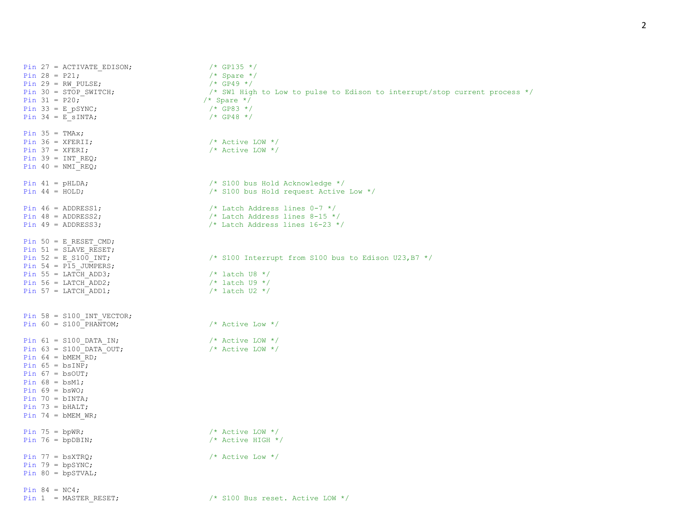Pin 27 = ACTIVATE EDISON;  $/$  /\* GP135 \*/ Pin 28 = P21;<br>
Pin 29 = RW PULSE;<br>  $\frac{1}{2}$  /\* Spare \*/<br>  $\frac{1}{2}$  /\* GP49 \*/ Pin 29 = RW PULSE; Pin  $30 = \text{STOP\_SWITCH}$ ;<br>
Pin  $31 = \text{P20}$ ;<br>  $\frac{1}{2}$  /\* Spare \*/<br>  $\frac{1}{2}$  Spare \*/<br>  $\frac{1}{2}$  Spare \*/ Pin 31 = P20;  $\frac{1}{2}$  /\* Spare \*/<br>Pin 33 = E pSYNC;  $\frac{1}{2}$  /\* GP83 \*/ Pin 33 = E pSYNC; Pin 34 = E\_sINTA;  $/$  /\* GP48 \*/ Pin  $35 = TMAX;$ <br>Pin  $36 = XFERII;$  $/*$  Active LOW  $*/$ Pin 37 =  $XFERI$ ;  $\frac{1}{2}$  /\* Active LOW \*/ Pin 39 = INT REQ; Pin  $40 = NMI$  REQ; Pin 41 = pHLDA; /\* S100 bus Hold Acknowledge \*/ Pin 44 = HOLD; /\* S100 bus Hold request Active Low \*/ Pin  $46 =$  ADDRESS1;  $\frac{1}{2}$  and  $\frac{1}{2}$  and  $\frac{1}{2}$  and  $\frac{1}{2}$  and  $\frac{1}{2}$  and  $\frac{1}{2}$  and  $\frac{1}{2}$  and  $\frac{1}{2}$  and  $\frac{1}{2}$  and  $\frac{1}{2}$  and  $\frac{1}{2}$  and  $\frac{1}{2}$  and  $\frac{1}{2}$  and  $\frac{1}{2}$  and  $\frac{1$ Pin  $48$  = ADDRESS2;  $\frac{1}{2}$  /\* Latch Address lines  $8-15$  \*/ Pin  $49 =$  ADDRESS3;  $\frac{1}{2}$  and  $\frac{1}{2}$  and  $\frac{1}{2}$  and  $\frac{1}{2}$  and  $\frac{1}{2}$  and  $\frac{1}{2}$  and  $\frac{1}{2}$  and  $\frac{1}{2}$  and  $\frac{1}{2}$  and  $\frac{1}{2}$  and  $\frac{1}{2}$  and  $\frac{1}{2}$  and  $\frac{1}{2}$  and  $\frac{1}{2}$  and  $\frac{1$ Pin 50 = E\_RESET\_CMD; Pin 51 = SLAVE\_RESET;<br>Pin 52 = E S100 INT; /\* S100 Interrupt from S100 bus to Edison U23,B7  $*/$ Pin 54 =  $P15$  JUMPERS; Pin 55 = LATCH ADD3;  $\frac{1}{100}$  /\* latch U8 \*/ Pin 56 = LATCH ADD2;  $\frac{1}{2}$  /\* latch U9 \*/ Pin 57 = LATCH\_ADD1;  $\frac{1}{2}$  /\* latch U2 \*/ Pin 58 =  $S100$  INT VECTOR; Pin 60 =  $$100$  PHANTOM;  $\frac{\text{P}}{\text{P}}$  /\* Active Low \*/ Pin  $61 = S100$  DATA IN;  $/$  Active LOW  $*/$ Pin 63 =  $$100$  DATA OUT;  $\frac{\pi}{8}$  Active LOW \*/ Pin  $64 = bMEMRD;$ Pin  $65 = b \text{sINP}$ ; Pin  $67 = b$ sOUT; Pin  $68 = bsm1;$ Pin  $69 = bsw0;$ Pin  $70 = bINTA$ ; Pin  $73 = bHALT$ ; Pin  $74 = bMEMWR;$ Pin 75 = bpWR;  $\frac{1}{x}$  active LOW  $\frac{x}{x}$ Pin 76 = bpDBIN;  $\frac{1}{2}$  /\* Active HIGH \*/ Pin  $77 = b \text{s} \times \text{TRO}$ ;  $\frac{b \times b}{c \times d}$  /\* Active Low \*/ Pin  $79 = bpsYNC;$ Pin 80 = bpSTVAL; Pin  $84 = NC4;$ Pin 1 = MASTER RESET;  $/$  /\* S100 Bus reset. Active LOW \*/

2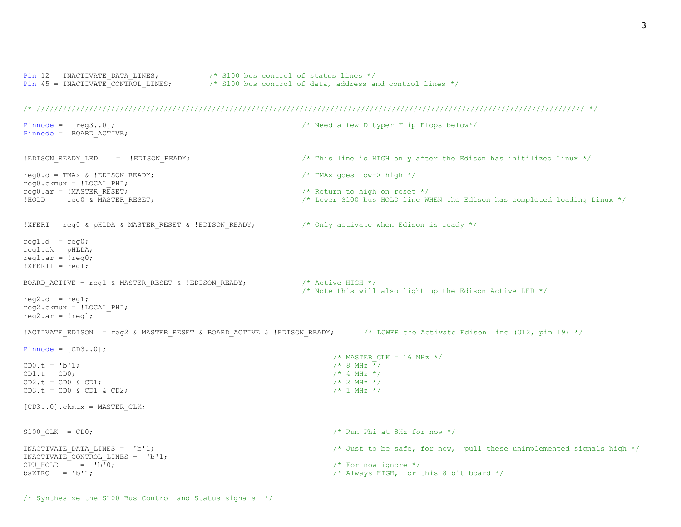```
Pin 12 = INACTIVATE DATA LINES; \frac{1}{2} /* S100 bus control of status lines */
Pin 45 = INACTIVATE CONTROL LINES; \frac{1}{2} /* S100 bus control of data, address and control lines */
```
## /\* ///////////////////////////////////////////////////////////////////////////////////////////////////////////////////////////// \*/

```
Pinnode = [reg3..0]; /* Need a few D typer Flip Flops below*/
Pinnode = BOARD ACTIVE;
!EDISON READY LED = !EDISON READY; \frac{1}{2} /* This line is HIGH only after the Edison has initilized Linux */
req0.d = TMAX & !EDISON READV; /* TMAx goes low-> high */
req0.ckmux = !LOCALPHI;reg0.ar = !MASTER RESET; \overline{z} /* Return to high on reset */
!HOLD = reg0 & MASTER RESET; / /* Lower S100 bus HOLD line WHEN the Edison has completed loading Linux */
!XFERI = reg0 & pHLDA & MASTER RESET & !EDISON READY; /* Only activate when Edison is ready */
reg1.d = req0;
req1.ck = pHLDA;req1.ar = !req0;! XFERII = reg1;
BOARD ACTIVE = reg1 & MASTER RESET & !EDISON READY; /* Active HIGH */
                                                               /* Note this will also light up the Edison Active LED */
req2.d = req1;reg2.ckmux = !LOCAL_PHI; 
req2.ar = !req1;!ACTIVATE EDISON = reg2 & MASTER RESET & BOARD ACTIVE & !EDISON READY; /* LOWER the Activate Edison line (U12, pin 19) */
Pinnode = [CD3..0];/* MASTER CLK = 16 MHz */CD0. t = 'b'1; /* 8 MHz */
CD1.t = CD0; \qquad \qquad /* 4 MHz */
CD2. t = CD0 \& CD1; /* 2 MHz */
CD3. t = CD0 \& CD1 \& CD2; \qquad \qquad \qquad \qquad \qquad \qquad \qquad \qquad \qquad \qquad \qquad \qquad \qquad \qquad \qquad \qquad \qquad \qquad \qquad \qquad \qquad \qquad \qquad \qquad \qquad \qquad \qquad \qquad \qquad \qquad \qquad \qquad \qquad \qquad \qquad \qquad \qquad \qquad \qquad \qquad \qquad \qquad \qquad \qquad \qquad [CD3..0].ckmux = MASTER CLK;
S100 CLK = CD0; \frac{1}{2} \frac{1}{2} \frac{1}{2} \frac{1}{2} \frac{1}{2} \frac{1}{2} \frac{1}{2} \frac{1}{2} \frac{1}{2} \frac{1}{2} \frac{1}{2} \frac{1}{2} \frac{1}{2} \frac{1}{2} \frac{1}{2} \frac{1}{2} \frac{1}{2} \frac{1}{2} \frac{1}{2} \frac{1}{2} \fracINACTIVATE DATA LINES = 'b'1; \qquad \qquad \qquad /* Just to be safe, for now, pull these unimplemented signals high */
INACTIVATE_CONTROL_LINES = 'b'1;<br>CPU HOLD = 'b'0;/* For now ignore */bsXTRQ = 'b'1; b'1
```

```
/* Synthesize the S100 Bus Control and Status signals */
```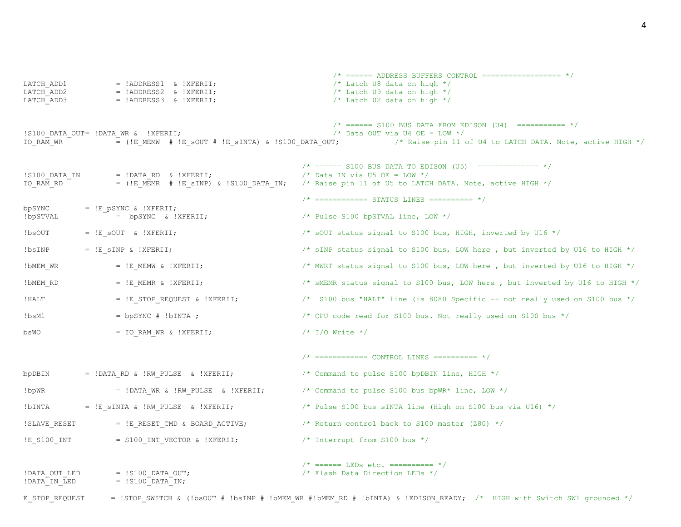$\frac{\pi}{2}$  ====== ADDRESS BUFFERS CONTROL ================== \*/ LATCH ADD1 = !ADDRESS1 & !XFERII;  $/$ \* Latch U8 data on high \*/ LATCH ADD2  $=$  !ADDRESS2 & !XFERII;  $/$  Latch U9 data on high  $*/$ LATCH\_ADD3 = !ADDRESS3 & !XFERII;  $\frac{1}{2}$  /\* Latch U2 data on high \*/  $\frac{\pi}{4}$  ====== S100 BUS DATA FROM EDISON (U4) =========== \*/ !S100 DATA OUT= !DATA WR & !XFERII;  $/$  /\* Data OUT via U4 OE = LOW \*/ IO RAM WR  $^ =$  (!E MEMW # !E SOUT # !E SINTA) & !S100 DATA OUT; /\* Raise pin 11 of U4 to LATCH DATA. Note, active HIGH \*/ /\* ====== S100 BUS DATA TO EDISON (U5) ============== \*/  $!S100$  DATA IN  $=$   $!DATA$  RD &  $!XFERII$ ;  $/$   $/$  Data IN via U5 OE = LOW  $*/$ IO RAM RD = (!E MEMR # !E sINP) & !S100 DATA IN; /\* Raise pin 11 of U5 to LATCH DATA. Note, active HIGH \*/  $/*$  ============= STATUS LINES ========== \*/ bpSYNC =  $!E$  pSYNC &  $!XFERII;$  $\pm$  lbpSTVAL  $\pm$  bpSYNC & !XFERII;  $\pm$  /\* Pulse S100 bpSTVAL line, LOW \*/  $!b$ sOUT =  $!E$  sOUT &  $!X$ FERII;  $'$  /\* sOUT status signal to S100 bus, HIGH, inverted by U16 \*/  $!$  INP =  $!E$  sINP &  $!X$ FERII;  $'$  /\* sINP status signal to S100 bus, LOW here , but inverted by U16 to HIGH \*/ !DMEM WR =  $!E$  MEMW & !XFERII;  $\frac{1}{2}$  /\* MWRT status signal to S100 bus, LOW here , but inverted by U16 to HIGH \*/ !bMEM\_RD = !E\_MEMR & !XFERII;  $\frac{1}{2}$  sMEMR status signal to S100 bus, LOW here , but inverted by U16 to HIGH \*/  $!$ HALT  $=$   $!$  E STOP REQUEST &  $!$  XFERII;  $/$   $\neq$  S100 bus "HALT" line (is 8080 Specific -- not really used on S100 bus  $*/$  $!bsm1$  =  $bpsYNC$  #  $!bINTA$  ;  $\longrightarrow$   $\rightarrow$  CPU code read for S100 bus. Not really used on S100 bus  $\rightarrow$ bsWO = IO RAM WR & !XFERII;  $/$  /  $\frac{1}{0}$  Write \*/  $/*$  ============ CONTROL LINES ========== \*/ bpDBIN  $=$  !DATA RD & !RW PULSE & !XFERII;  $/$ \* Command to pulse S100 bpDBIN line, HIGH \*/  $!b$ pWR =  $!DATAWR$  &  $!RW$  PULSE &  $!XFERII$ ; /\* Command to pulse S100 bus bpWR\* line, LOW \*/  $!$  DINTA =  $!E$  sINTA &  $!RW$  PULSE &  $!XFERI$ ;  $/$  Pulse S100 bus sINTA line (High on S100 bus via U16)  $*/$ !SLAVE RESET  $=$  !E\_RESET CMD & BOARD ACTIVE;  $/$ \* Return control back to S100 master (Z80) \*/ !E\_S100\_INT = S100\_INT\_VECTOR & !XFERII;  $/$ \* Interrupt from S100 bus \*/  $/*$  ====== LEDs etc. ========== \*/ !DATA OUT LED  $=$  !S100 DATA OUT;  $/$  Flash Data Direction LEDs  $*/$  $!$  DATA IN LED  $=$   $!$  S100 DATA IN;

E\_STOP\_REQUEST = !STOP\_SWITCH & (!bsOUT # !bsINP # !bMEM\_WR #!bMEM\_RD # !bINTA) & !EDISON\_READY; /\* HIGH with Switch SW1 grounded \*/